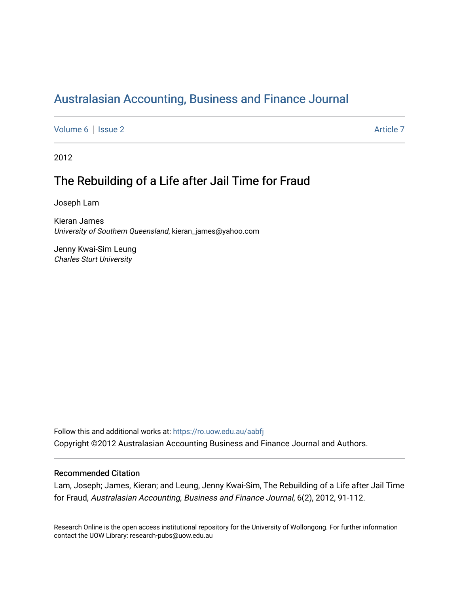# [Australasian Accounting, Business and Finance Journal](https://ro.uow.edu.au/aabfj)

[Volume 6](https://ro.uow.edu.au/aabfj/vol6) | [Issue 2](https://ro.uow.edu.au/aabfj/vol6/iss2) Article 7

2012

# The Rebuilding of a Life after Jail Time for Fraud

Joseph Lam

Kieran James University of Southern Queensland, kieran\_james@yahoo.com

Jenny Kwai-Sim Leung Charles Sturt University

Follow this and additional works at: [https://ro.uow.edu.au/aabfj](https://ro.uow.edu.au/aabfj?utm_source=ro.uow.edu.au%2Faabfj%2Fvol6%2Fiss2%2F7&utm_medium=PDF&utm_campaign=PDFCoverPages) Copyright ©2012 Australasian Accounting Business and Finance Journal and Authors.

#### Recommended Citation

Lam, Joseph; James, Kieran; and Leung, Jenny Kwai-Sim, The Rebuilding of a Life after Jail Time for Fraud, Australasian Accounting, Business and Finance Journal, 6(2), 2012, 91-112.

Research Online is the open access institutional repository for the University of Wollongong. For further information contact the UOW Library: research-pubs@uow.edu.au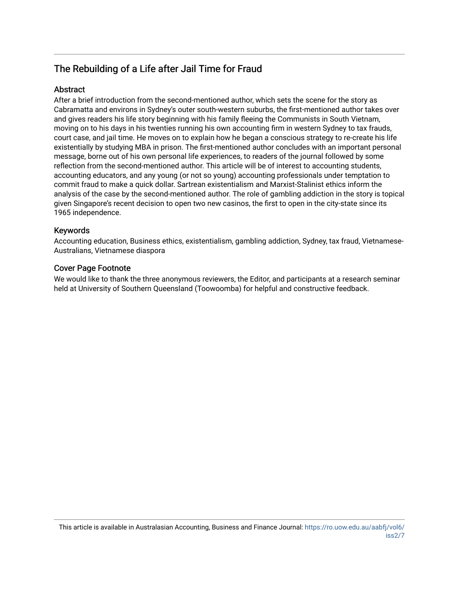# The Rebuilding of a Life after Jail Time for Fraud

## Abstract

After a brief introduction from the second-mentioned author, which sets the scene for the story as Cabramatta and environs in Sydney's outer south-western suburbs, the first-mentioned author takes over and gives readers his life story beginning with his family fleeing the Communists in South Vietnam, moving on to his days in his twenties running his own accounting firm in western Sydney to tax frauds, court case, and jail time. He moves on to explain how he began a conscious strategy to re-create his life existentially by studying MBA in prison. The first-mentioned author concludes with an important personal message, borne out of his own personal life experiences, to readers of the journal followed by some reflection from the second-mentioned author. This article will be of interest to accounting students, accounting educators, and any young (or not so young) accounting professionals under temptation to commit fraud to make a quick dollar. Sartrean existentialism and Marxist-Stalinist ethics inform the analysis of the case by the second-mentioned author. The role of gambling addiction in the story is topical given Singapore's recent decision to open two new casinos, the first to open in the city-state since its 1965 independence.

## Keywords

Accounting education, Business ethics, existentialism, gambling addiction, Sydney, tax fraud, Vietnamese-Australians, Vietnamese diaspora

#### Cover Page Footnote

We would like to thank the three anonymous reviewers, the Editor, and participants at a research seminar held at University of Southern Queensland (Toowoomba) for helpful and constructive feedback.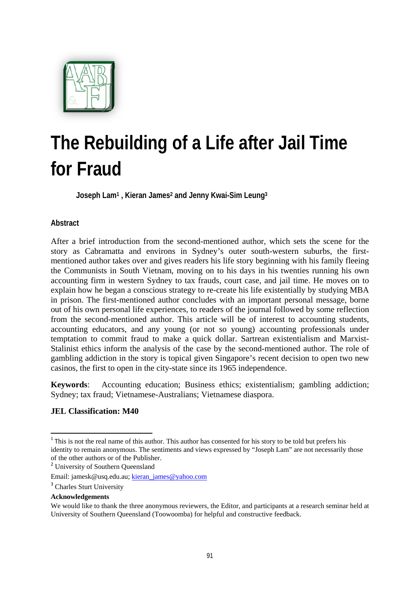

# **The Rebuilding of a Life after Jail Time for Fraud**

**Joseph Lam1 , Kieran James2 and Jenny Kwai-Sim Leung3**

# **Abstract**

After a brief introduction from the second-mentioned author, which sets the scene for the story as Cabramatta and environs in Sydney's outer south-western suburbs, the firstmentioned author takes over and gives readers his life story beginning with his family fleeing the Communists in South Vietnam, moving on to his days in his twenties running his own accounting firm in western Sydney to tax frauds, court case, and jail time. He moves on to explain how he began a conscious strategy to re-create his life existentially by studying MBA in prison. The first-mentioned author concludes with an important personal message, borne out of his own personal life experiences, to readers of the journal followed by some reflection from the second-mentioned author. This article will be of interest to accounting students, accounting educators, and any young (or not so young) accounting professionals under temptation to commit fraud to make a quick dollar. Sartrean existentialism and Marxist-Stalinist ethics inform the analysis of the case by the second-mentioned author. The role of gambling addiction in the story is topical given Singapore's recent decision to open two new casinos, the first to open in the city-state since its 1965 independence.

**Keywords**: Accounting education; Business ethics; existentialism; gambling addiction; Sydney; tax fraud; Vietnamese-Australians; Vietnamese diaspora.

## **JEL Classification: M40**

**Acknowledgements**

<sup>&</sup>lt;sup>1</sup> This is not the real name of this author. This author has consented for his story to be told but prefers his identity to remain anonymous. The sentiments and views expressed by "Joseph Lam" are not necessarily those of the other authors or of the Publisher.

<sup>&</sup>lt;sup>2</sup> University of Southern Queensland

Email: jamesk@usq.edu.au; kieran\_james@yahoo.com

<sup>&</sup>lt;sup>3</sup> Charles Sturt University

We would like to thank the three anonymous reviewers, the Editor, and participants at a research seminar held at University of Southern Queensland (Toowoomba) for helpful and constructive feedback.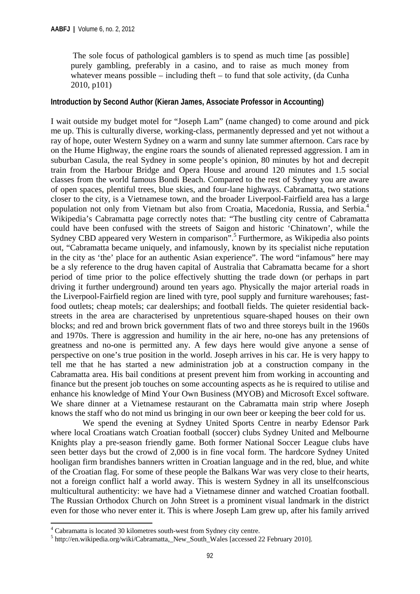The sole focus of pathological gamblers is to spend as much time [as possible] purely gambling, preferably in a casino, and to raise as much money from whatever means possible – including theft – to fund that sole activity, (da Cunha 2010, p101)

## **Introduction by Second Author (Kieran James, Associate Professor in Accounting)**

I wait outside my budget motel for "Joseph Lam" (name changed) to come around and pick me up. This is culturally diverse, working-class, permanently depressed and yet not without a ray of hope, outer Western Sydney on a warm and sunny late summer afternoon. Cars race by on the Hume Highway, the engine roars the sounds of alienated repressed aggression. I am in suburban Casula, the real Sydney in some people's opinion, 80 minutes by hot and decrepit train from the Harbour Bridge and Opera House and around 120 minutes and 1.5 social classes from the world famous Bondi Beach. Compared to the rest of Sydney you are aware of open spaces, plentiful trees, blue skies, and four-lane highways. Cabramatta, two stations closer to the city, is a Vietnamese town, and the broader Liverpool-Fairfield area has a large population not only from Vietnam but also from Croatia, Macedonia, Russia, and Serbia.4 Wikipedia's Cabramatta page correctly notes that: "The bustling city centre of Cabramatta could have been confused with the streets of Saigon and historic 'Chinatown', while the Sydney CBD appeared very Western in comparison".<sup>5</sup> Furthermore, as Wikipedia also points out, "Cabramatta became uniquely, and infamously, known by its specialist niche reputation in the city as 'the' place for an authentic Asian experience". The word "infamous" here may be a sly reference to the drug haven capital of Australia that Cabramatta became for a short period of time prior to the police effectively shutting the trade down (or perhaps in part driving it further underground) around ten years ago. Physically the major arterial roads in the Liverpool-Fairfield region are lined with tyre, pool supply and furniture warehouses; fastfood outlets; cheap motels; car dealerships; and football fields. The quieter residential backstreets in the area are characterised by unpretentious square-shaped houses on their own blocks; and red and brown brick government flats of two and three storeys built in the 1960s and 1970s. There is aggression and humility in the air here, no-one has any pretensions of greatness and no-one is permitted any. A few days here would give anyone a sense of perspective on one's true position in the world. Joseph arrives in his car. He is very happy to tell me that he has started a new administration job at a construction company in the Cabramatta area. His bail conditions at present prevent him from working in accounting and finance but the present job touches on some accounting aspects as he is required to utilise and enhance his knowledge of Mind Your Own Business (MYOB) and Microsoft Excel software. We share dinner at a Vietnamese restaurant on the Cabramatta main strip where Joseph knows the staff who do not mind us bringing in our own beer or keeping the beer cold for us.

 We spend the evening at Sydney United Sports Centre in nearby Edensor Park where local Croatians watch Croatian football (soccer) clubs Sydney United and Melbourne Knights play a pre-season friendly game. Both former National Soccer League clubs have seen better days but the crowd of 2,000 is in fine vocal form. The hardcore Sydney United hooligan firm brandishes banners written in Croatian language and in the red, blue, and white of the Croatian flag. For some of these people the Balkans War was very close to their hearts, not a foreign conflict half a world away. This is western Sydney in all its unselfconscious multicultural authenticity: we have had a Vietnamese dinner and watched Croatian football. The Russian Orthodox Church on John Street is a prominent visual landmark in the district even for those who never enter it. This is where Joseph Lam grew up, after his family arrived

<sup>4&</sup>lt;br>
<sup>4</sup> Cabramatta is located 30 kilometres south-west from Sydney city centre.<br>
<sup>5</sup> http://en.wikipedia.org/wiki/Cebrematte. New South Welse Jacquesed?

<sup>&</sup>lt;sup>5</sup> http://en.wikipedia.org/wiki/Cabramatta,\_New\_South\_Wales [accessed 22 February 2010].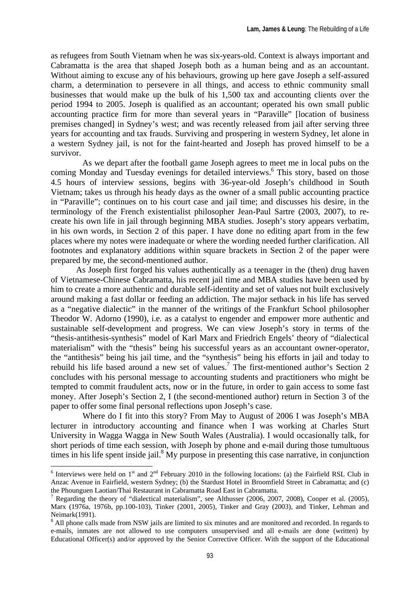as refugees from South Vietnam when he was six-years-old. Context is always important and Cabramatta is the area that shaped Joseph both as a human being and as an accountant. Without aiming to excuse any of his behaviours, growing up here gave Joseph a self-assured charm, a determination to persevere in all things, and access to ethnic community small businesses that would make up the bulk of his 1,500 tax and accounting clients over the period 1994 to 2005. Joseph is qualified as an accountant; operated his own small public accounting practice firm for more than several years in "Paraville" [location of business premises changed] in Sydney's west; and was recently released from jail after serving three years for accounting and tax frauds. Surviving and prospering in western Sydney, let alone in a western Sydney jail, is not for the faint-hearted and Joseph has proved himself to be a survivor.

 As we depart after the football game Joseph agrees to meet me in local pubs on the coming Monday and Tuesday evenings for detailed interviews.<sup>6</sup> This story, based on those 4.5 hours of interview sessions, begins with 36-year-old Joseph's childhood in South Vietnam; takes us through his heady days as the owner of a small public accounting practice in "Paraville"; continues on to his court case and jail time; and discusses his desire, in the terminology of the French existentialist philosopher Jean-Paul Sartre (2003, 2007), to recreate his own life in jail through beginning MBA studies. Joseph's story appears verbatim, in his own words, in Section 2 of this paper. I have done no editing apart from in the few places where my notes were inadequate or where the wording needed further clarification. All footnotes and explanatory additions within square brackets in Section 2 of the paper were prepared by me, the second-mentioned author.

As Joseph first forged his values authentically as a teenager in the (then) drug haven of Vietnamese-Chinese Cabramatta, his recent jail time and MBA studies have been used by him to create a more authentic and durable self-identity and set of values not built exclusively around making a fast dollar or feeding an addiction. The major setback in his life has served as a "negative dialectic" in the manner of the writings of the Frankfurt School philosopher Theodor W. Adorno (1990), i.e. as a catalyst to engender and empower more authentic and sustainable self-development and progress. We can view Joseph's story in terms of the "thesis-antithesis-synthesis" model of Karl Marx and Friedrich Engels' theory of "dialectical materialism" with the "thesis" being his successful years as an accountant owner-operator, the "antithesis" being his jail time, and the "synthesis" being his efforts in jail and today to rebuild his life based around a new set of values.<sup>7</sup> The first-mentioned author's Section 2 concludes with his personal message to accounting students and practitioners who might be tempted to commit fraudulent acts, now or in the future, in order to gain access to some fast money. After Joseph's Section 2, I (the second-mentioned author) return in Section 3 of the paper to offer some final personal reflections upon Joseph's case.

 Where do I fit into this story? From May to August of 2006 I was Joseph's MBA lecturer in introductory accounting and finance when I was working at Charles Sturt University in Wagga Wagga in New South Wales (Australia). I would occasionally talk, for short periods of time each session, with Joseph by phone and e-mail during those tumultuous times in his life spent inside jail. $8$  My purpose in presenting this case narrative, in conjunction

 $\frac{6}{6}$  Interviews were held on 1<sup>st</sup> and 2<sup>nd</sup> February 2010 in the following locations: (a) the Fairfield RSL Club in Anzac Avenue in Fairfield, western Sydney; (b) the Stardust Hotel in Broomfield Street in Cabramatta; and (c) the Phounguen Laotian/Thai Restaurant in Cabramatta Road East in Cabramatta.

<sup>7</sup> Regarding the theory of "dialectical materialism", see Althusser (2006, 2007, 2008), Cooper et al. (2005), Marx (1976a, 1976b, pp.100-103), Tinker (2001, 2005), Tinker and Gray (2003), and Tinker, Lehman and Neimark(1991).

<sup>&</sup>lt;sup>8</sup> All phone calls made from NSW jails are limited to six minutes and are monitored and recorded. In regards to e-mails, inmates are not allowed to use computers unsupervised and all e-mails are done (written) by Educational Officer(s) and/or approved by the Senior Corrective Officer. With the support of the Educational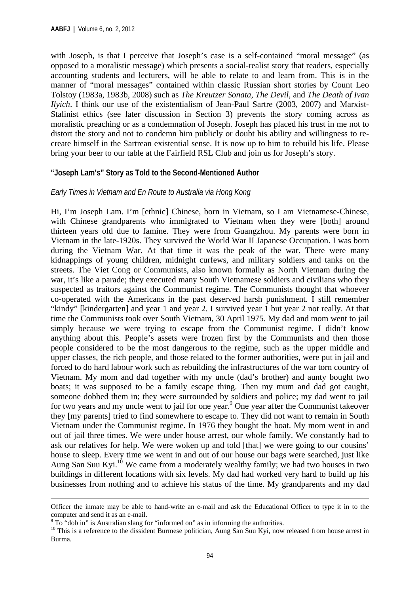with Joseph, is that I perceive that Joseph's case is a self-contained "moral message" (as opposed to a moralistic message) which presents a social-realist story that readers, especially accounting students and lecturers, will be able to relate to and learn from. This is in the manner of "moral messages" contained within classic Russian short stories by Count Leo Tolstoy (1983a, 1983b, 2008) such as *The Kreutzer Sonata*, *The Devil*, and *The Death of Ivan Ilyich*. I think our use of the existentialism of Jean-Paul Sartre (2003, 2007) and Marxist-Stalinist ethics (see later discussion in Section 3) prevents the story coming across as moralistic preaching or as a condemnation of Joseph. Joseph has placed his trust in me not to distort the story and not to condemn him publicly or doubt his ability and willingness to recreate himself in the Sartrean existential sense. It is now up to him to rebuild his life. Please bring your beer to our table at the Fairfield RSL Club and join us for Joseph's story.

## **"Joseph Lam's" Story as Told to the Second-Mentioned Author**

## *Early Times in Vietnam and En Route to Australia via Hong Kong*

Hi, I'm Joseph Lam. I'm [ethnic] Chinese, born in Vietnam, so I am Vietnamese-Chinese, with Chinese grandparents who immigrated to Vietnam when they were [both] around thirteen years old due to famine. They were from Guangzhou. My parents were born in Vietnam in the late-1920s. They survived the World War II Japanese Occupation. I was born during the Vietnam War. At that time it was the peak of the war. There were many kidnappings of young children, midnight curfews, and military soldiers and tanks on the streets. The Viet Cong or Communists, also known formally as North Vietnam during the war, it's like a parade; they executed many South Vietnamese soldiers and civilians who they suspected as traitors against the Communist regime. The Communists thought that whoever co-operated with the Americans in the past deserved harsh punishment. I still remember "kindy" [kindergarten] and year 1 and year 2. I survived year 1 but year 2 not really. At that time the Communists took over South Vietnam, 30 April 1975. My dad and mom went to jail simply because we were trying to escape from the Communist regime. I didn't know anything about this. People's assets were frozen first by the Communists and then those people considered to be the most dangerous to the regime, such as the upper middle and upper classes, the rich people, and those related to the former authorities, were put in jail and forced to do hard labour work such as rebuilding the infrastructures of the war torn country of Vietnam. My mom and dad together with my uncle (dad's brother) and aunty bought two boats; it was supposed to be a family escape thing. Then my mum and dad got caught, someone dobbed them in; they were surrounded by soldiers and police; my dad went to jail for two years and my uncle went to jail for one year.<sup>9</sup> One year after the Communist takeover they [my parents] tried to find somewhere to escape to. They did not want to remain in South Vietnam under the Communist regime. In 1976 they bought the boat. My mom went in and out of jail three times. We were under house arrest, our whole family. We constantly had to ask our relatives for help. We were woken up and told [that] we were going to our cousins' house to sleep. Every time we went in and out of our house our bags were searched, just like Aung San Suu Kyi.<sup>10</sup> We came from a moderately wealthy family; we had two houses in two buildings in different locations with six levels. My dad had worked very hard to build up his businesses from nothing and to achieve his status of the time. My grandparents and my dad

<sup>&</sup>lt;u> 1989 - Johann Barn, amerikansk politiker (d. 1989)</u> Officer the inmate may be able to hand-write an e-mail and ask the Educational Officer to type it in to the computer and send it as an e-mail.<br><sup>9</sup> To "dob in" is Australian slang for "informed on" as in informing the authorities.

<sup>&</sup>lt;sup>10</sup> This is a reference to the dissident Burmese politician, Aung San Suu Kyi, now released from house arrest in Burma.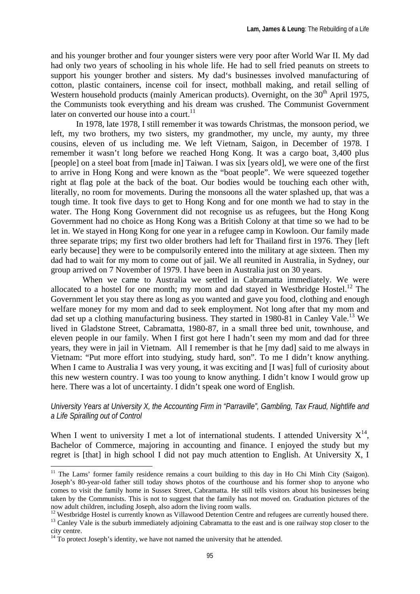and his younger brother and four younger sisters were very poor after World War II. My dad had only two years of schooling in his whole life. He had to sell fried peanuts on streets to support his younger brother and sisters. My dad's businesses involved manufacturing of cotton, plastic containers, incense coil for insect, mothball making, and retail selling of Western household products (mainly American products). Overnight, on the  $30<sup>th</sup>$  April 1975, the Communists took everything and his dream was crushed. The Communist Government later on converted our house into a court.<sup>11</sup>

In 1978, late 1978, I still remember it was towards Christmas, the monsoon period, we left, my two brothers, my two sisters, my grandmother, my uncle, my aunty, my three cousins, eleven of us including me. We left Vietnam, Saigon, in December of 1978. I remember it wasn't long before we reached Hong Kong. It was a cargo boat, 3,400 plus [people] on a steel boat from [made in] Taiwan. I was six [years old], we were one of the first to arrive in Hong Kong and were known as the "boat people". We were squeezed together right at flag pole at the back of the boat. Our bodies would be touching each other with, literally, no room for movements. During the monsoons all the water splashed up, that was a tough time. It took five days to get to Hong Kong and for one month we had to stay in the water. The Hong Kong Government did not recognise us as refugees, but the Hong Kong Government had no choice as Hong Kong was a British Colony at that time so we had to be let in. We stayed in Hong Kong for one year in a refugee camp in Kowloon. Our family made three separate trips; my first two older brothers had left for Thailand first in 1976. They [left early because] they were to be compulsorily entered into the military at age sixteen. Then my dad had to wait for my mom to come out of jail. We all reunited in Australia, in Sydney, our group arrived on 7 November of 1979. I have been in Australia just on 30 years.

 When we came to Australia we settled in Cabramatta immediately. We were allocated to a hostel for one month; my mom and dad stayed in Westbridge Hostel.<sup>12</sup> The Government let you stay there as long as you wanted and gave you food, clothing and enough welfare money for my mom and dad to seek employment. Not long after that my mom and dad set up a clothing manufacturing business. They started in 1980-81 in Canley Vale.<sup>13</sup> We lived in Gladstone Street, Cabramatta, 1980-87, in a small three bed unit, townhouse, and eleven people in our family. When I first got here I hadn't seen my mom and dad for three years, they were in jail in Vietnam. All I remember is that he [my dad] said to me always in Vietnam: "Put more effort into studying, study hard, son". To me I didn't know anything. When I came to Australia I was very young, it was exciting and [I was] full of curiosity about this new western country. I was too young to know anything. I didn't know I would grow up here. There was a lot of uncertainty. I didn't speak one word of English.

*University Years at University X, the Accounting Firm in "Parraville", Gambling, Tax Fraud, Nightlife and a Life Spiralling out of Control* 

When I went to university I met a lot of international students. I attended University  $X^{14}$ , Bachelor of Commerce, majoring in accounting and finance. I enjoyed the study but my regret is [that] in high school I did not pay much attention to English. At University X, I

<sup>&</sup>lt;sup>11</sup> The Lams' former family residence remains a court building to this day in Ho Chi Minh City (Saigon). Joseph's 80-year-old father still today shows photos of the courthouse and his former shop to anyone who comes to visit the family home in Sussex Street, Cabramatta. He still tells visitors about his businesses being taken by the Communists. This is not to suggest that the family has not moved on. Graduation pictures of the now adult children, including Joseph, also adorn the living room walls.<br><sup>12</sup> Westbridge Hostel is currently known as Villawood Detention Centre and refugees are currently housed there.

 $13$  Canley Vale is the suburb immediately adjoining Cabramatta to the east and is one railway stop closer to the city centre.

<sup>&</sup>lt;sup>14</sup> To protect Joseph's identity, we have not named the university that he attended.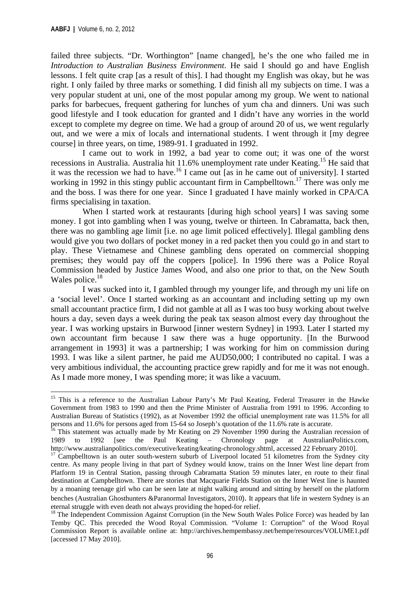failed three subjects. "Dr. Worthington" [name changed], he's the one who failed me in *Introduction to Australian Business Environment*. He said I should go and have English lessons. I felt quite crap [as a result of this]. I had thought my English was okay, but he was right. I only failed by three marks or something. I did finish all my subjects on time. I was a very popular student at uni, one of the most popular among my group. We went to national parks for barbecues, frequent gathering for lunches of yum cha and dinners. Uni was such good lifestyle and I took education for granted and I didn't have any worries in the world except to complete my degree on time. We had a group of around 20 of us, we went regularly out, and we were a mix of locals and international students. I went through it [my degree course] in three years, on time, 1989-91. I graduated in 1992.

 I came out to work in 1992, a bad year to come out; it was one of the worst recessions in Australia. Australia hit 11.6% unemployment rate under Keating.15 He said that it was the recession we had to have.<sup>16</sup> I came out  $\overline{1}$  as in he came out of university]. I started working in 1992 in this stingy public accountant firm in Campbelltown.<sup>17</sup> There was only me and the boss. I was there for one year. Since I graduated I have mainly worked in CPA/CA firms specialising in taxation.

When I started work at restaurants [during high school years] I was saving some money. I got into gambling when I was young, twelve or thirteen. In Cabramatta, back then, there was no gambling age limit [i.e. no age limit policed effectively]. Illegal gambling dens would give you two dollars of pocket money in a red packet then you could go in and start to play. These Vietnamese and Chinese gambling dens operated on commercial shopping premises; they would pay off the coppers [police]. In 1996 there was a Police Royal Commission headed by Justice James Wood, and also one prior to that, on the New South Wales police.<sup>18</sup>

 I was sucked into it, I gambled through my younger life, and through my uni life on a 'social level'. Once I started working as an accountant and including setting up my own small accountant practice firm, I did not gamble at all as I was too busy working about twelve hours a day, seven days a week during the peak tax season almost every day throughout the year. I was working upstairs in Burwood [inner western Sydney] in 1993. Later I started my own accountant firm because I saw there was a huge opportunity. [In the Burwood arrangement in 1993] it was a partnership; I was working for him on commission during 1993. I was like a silent partner, he paid me AUD50,000; I contributed no capital. I was a very ambitious individual, the accounting practice grew rapidly and for me it was not enough. As I made more money, I was spending more; it was like a vacuum.

<sup>&</sup>lt;sup>15</sup> This is a reference to the Australian Labour Party's Mr Paul Keating, Federal Treasurer in the Hawke Government from 1983 to 1990 and then the Prime Minister of Australia from 1991 to 1996. According to Australian Bureau of Statistics (1992), as at November 1992 the official unemployment rate was 11.5% for all

persons and 11.6% for persons aged from 15-64 so Joseph's quotation of the 11.6% rate is accurate.<br><sup>16</sup> This statement was actually made by Mr Keating on 29 November 1990 during the Australian recession of 1989 to 1992 [se 1989 to 1992 [see the Paul Keating – Chronology page at AustralianPolitics.com, http://www.australianpolitics.com/executive/keating/keating-chronology.shtml, accessed 22 February 2010]. 17 Campbelltown is an outer south-western suburb of Liverpool located 51 kilometres from the Sydney city

centre. As many people living in that part of Sydney would know, trains on the Inner West line depart from Platform 19 in Central Station, passing through Cabramatta Station 59 minutes later, en route to their final destination at Campbelltown. There are stories that Macquarie Fields Station on the Inner West line is haunted by a moaning teenage girl who can be seen late at night walking around and sitting by herself on the platform benches (Australian Ghosthunters &Paranormal Investigators, 2010). It appears that life in western Sydney is an eternal struggle with even death not always providing the hoped-for relief.

<sup>&</sup>lt;sup>18</sup> The Independent Commission Against Corruption (in the New South Wales Police Force) was headed by Ian Temby QC. This preceded the Wood Royal Commission. "Volume 1: Corruption" of the Wood Royal Commission Report is available online at: http://archives.hempembassy.net/hempe/resources/VOLUME1.pdf [accessed 17 May 2010].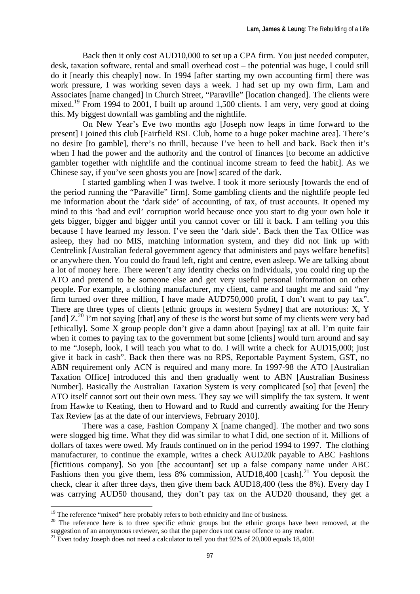Back then it only cost AUD10,000 to set up a CPA firm. You just needed computer, desk, taxation software, rental and small overhead cost – the potential was huge, I could still do it [nearly this cheaply] now. In 1994 [after starting my own accounting firm] there was work pressure, I was working seven days a week. I had set up my own firm, Lam and Associates [name changed] in Church Street, "Paraville" [location changed]. The clients were mixed.<sup>19</sup> From 1994 to 2001, I built up around 1,500 clients. I am very, very good at doing this. My biggest downfall was gambling and the nightlife.

 On New Year's Eve two months ago [Joseph now leaps in time forward to the present] I joined this club [Fairfield RSL Club, home to a huge poker machine area]. There's no desire [to gamble], there's no thrill, because I've been to hell and back. Back then it's when I had the power and the authority and the control of finances [to become an addictive gambler together with nightlife and the continual income stream to feed the habit]. As we Chinese say, if you've seen ghosts you are [now] scared of the dark.

 I started gambling when I was twelve. I took it more seriously [towards the end of the period running the "Paraville" firm]. Some gambling clients and the nightlife people fed me information about the 'dark side' of accounting, of tax, of trust accounts. It opened my mind to this 'bad and evil' corruption world because once you start to dig your own hole it gets bigger, bigger and bigger until you cannot cover or fill it back. I am telling you this because I have learned my lesson. I've seen the 'dark side'. Back then the Tax Office was asleep, they had no MIS, matching information system, and they did not link up with Centrelink [Australian federal government agency that administers and pays welfare benefits] or anywhere then. You could do fraud left, right and centre, even asleep. We are talking about a lot of money here. There weren't any identity checks on individuals, you could ring up the ATO and pretend to be someone else and get very useful personal information on other people. For example, a clothing manufacturer, my client, came and taught me and said "my firm turned over three million, I have made AUD750,000 profit, I don't want to pay tax". There are three types of clients [ethnic groups in western Sydney] that are notorious: X, Y [and]  $Z^{20}$  I'm not saying [that] any of these is the worst but some of my clients were very bad [ethically]. Some X group people don't give a damn about [paying] tax at all. I'm quite fair when it comes to paying tax to the government but some [clients] would turn around and say to me "Joseph, look, I will teach you what to do. I will write a check for AUD15,000; just give it back in cash". Back then there was no RPS, Reportable Payment System, GST, no ABN requirement only ACN is required and many more. In 1997-98 the ATO [Australian Taxation Office] introduced this and then gradually went to ABN [Australian Business Number]. Basically the Australian Taxation System is very complicated [so] that [even] the ATO itself cannot sort out their own mess. They say we will simplify the tax system. It went from Hawke to Keating, then to Howard and to Rudd and currently awaiting for the Henry Tax Review [as at the date of our interviews, February 2010].

 There was a case, Fashion Company X [name changed]. The mother and two sons were slogged big time. What they did was similar to what I did, one section of it. Millions of dollars of taxes were owed. My frauds continued on in the period 1994 to 1997. The clothing manufacturer, to continue the example, writes a check AUD20k payable to ABC Fashions [fictitious company]. So you [the accountant] set up a false company name under ABC Fashions then you give them, less  $8\%$  commission, AUD18,400 [cash].<sup>21</sup> You deposit the check, clear it after three days, then give them back AUD18,400 (less the 8%). Every day I was carrying AUD50 thousand, they don't pay tax on the AUD20 thousand, they get a

 $19$  The reference "mixed" here probably refers to both ethnicity and line of business.

<sup>&</sup>lt;sup>20</sup> The reference here is to three specific ethnic groups but the ethnic groups have been removed, at the suggestion of an anonymous reviewer, so that the paper does not cause offence to any reader.

 $21$  Even today Joseph does not need a calculator to tell you that 92% of 20,000 equals 18,400!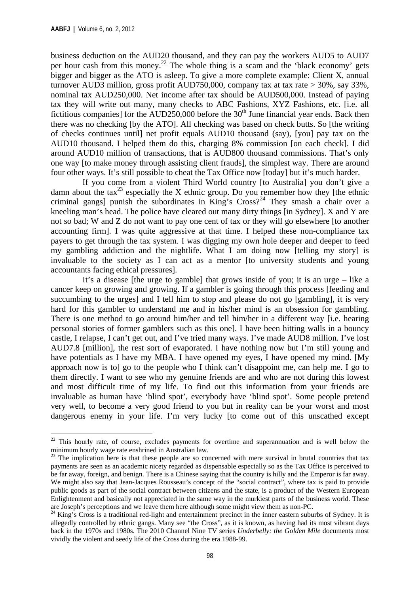business deduction on the AUD20 thousand, and they can pay the workers AUD5 to AUD7 per hour cash from this money.<sup>22</sup> The whole thing is a scam and the 'black economy' gets bigger and bigger as the ATO is asleep. To give a more complete example: Client X, annual turnover AUD3 million, gross profit AUD750,000, company tax at tax rate > 30%, say 33%, nominal tax AUD250,000. Net income after tax should be AUD500,000. Instead of paying tax they will write out many, many checks to ABC Fashions, XYZ Fashions, etc. [i.e. all fictitious companies] for the  $AUD250,000$  before the  $30<sup>th</sup>$  June financial year ends. Back then there was no checking [by the ATO]. All checking was based on check butts. So [the writing of checks continues until] net profit equals AUD10 thousand (say), [you] pay tax on the AUD10 thousand. I helped them do this, charging 8% commission [on each check]. I did around AUD10 million of transactions, that is AUD800 thousand commissions. That's only one way [to make money through assisting client frauds], the simplest way. There are around four other ways. It's still possible to cheat the Tax Office now [today] but it's much harder.

 If you come from a violent Third World country [to Australia] you don't give a damn about the tax<sup>23</sup> especially the X ethnic group. Do you remember how they [the ethnic criminal gangs] punish the subordinates in King's  $Cross?^{24}$  They smash a chair over a kneeling man's head. The police have cleared out many dirty things [in Sydney]. X and Y are not so bad; W and Z do not want to pay one cent of tax or they will go elsewhere [to another accounting firm]. I was quite aggressive at that time. I helped these non-compliance tax payers to get through the tax system. I was digging my own hole deeper and deeper to feed my gambling addiction and the nightlife. What I am doing now [telling my story] is invaluable to the society as I can act as a mentor [to university students and young accountants facing ethical pressures].

 It's a disease [the urge to gamble] that grows inside of you; it is an urge – like a cancer keep on growing and growing. If a gambler is going through this process [feeding and succumbing to the urges] and I tell him to stop and please do not go [gambling], it is very hard for this gambler to understand me and in his/her mind is an obsession for gambling. There is one method to go around him/her and tell him/her in a different way [i.e. hearing personal stories of former gamblers such as this one]. I have been hitting walls in a bouncy castle, I relapse, I can't get out, and I've tried many ways. I've made AUD8 million. I've lost AUD7.8 [million], the rest sort of evaporated. I have nothing now but I'm still young and have potentials as I have my MBA. I have opened my eyes, I have opened my mind. [My approach now is to] go to the people who I think can't disappoint me, can help me. I go to them directly. I want to see who my genuine friends are and who are not during this lowest and most difficult time of my life. To find out this information from your friends are invaluable as human have 'blind spot', everybody have 'blind spot'. Some people pretend very well, to become a very good friend to you but in reality can be your worst and most dangerous enemy in your life. I'm very lucky [to come out of this unscathed except

 $22$  This hourly rate, of course, excludes payments for overtime and superannuation and is well below the minimum hourly wage rate enshrined in Australian law.

<sup>&</sup>lt;sup>23</sup> The implication here is that these people are so concerned with mere survival in brutal countries that tax payments are seen as an academic nicety regarded as dispensable especially so as the Tax Office is perceived to be far away, foreign, and benign. There is a Chinese saying that the country is hilly and the Emperor is far away. We might also say that Jean-Jacques Rousseau's concept of the "social contract", where tax is paid to provide public goods as part of the social contract between citizens and the state, is a product of the Western European Enlightenment and basically not appreciated in the same way in the murkiest parts of the business world. These are Joseph's perceptions and we leave them here although some might view them as non-PC.<br><sup>24</sup> King's Cross is a traditional red-light and entertainment precinct in the inner eastern suburbs of Sydney. It is

allegedly controlled by ethnic gangs. Many see "the Cross", as it is known, as having had its most vibrant days back in the 1970s and 1980s. The 2010 Channel Nine TV series *Underbelly: the Golden Mile* documents most vividly the violent and seedy life of the Cross during the era 1988-99.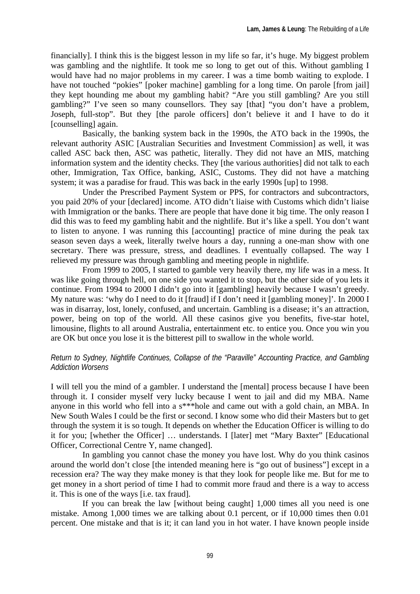financially]. I think this is the biggest lesson in my life so far, it's huge. My biggest problem was gambling and the nightlife. It took me so long to get out of this. Without gambling I would have had no major problems in my career. I was a time bomb waiting to explode. I have not touched "pokies" [poker machine] gambling for a long time. On parole [from jail] they kept hounding me about my gambling habit? "Are you still gambling? Are you still gambling?" I've seen so many counsellors. They say [that] "you don't have a problem, Joseph, full-stop". But they [the parole officers] don't believe it and I have to do it [counselling] again.

 Basically, the banking system back in the 1990s, the ATO back in the 1990s, the relevant authority ASIC [Australian Securities and Investment Commission] as well, it was called ASC back then, ASC was pathetic, literally. They did not have an MIS, matching information system and the identity checks. They [the various authorities] did not talk to each other, Immigration, Tax Office, banking, ASIC, Customs. They did not have a matching system; it was a paradise for fraud. This was back in the early 1990s [up] to 1998.

 Under the Prescribed Payment System or PPS, for contractors and subcontractors, you paid 20% of your [declared] income. ATO didn't liaise with Customs which didn't liaise with Immigration or the banks. There are people that have done it big time. The only reason I did this was to feed my gambling habit and the nightlife. But it's like a spell. You don't want to listen to anyone. I was running this [accounting] practice of mine during the peak tax season seven days a week, literally twelve hours a day, running a one-man show with one secretary. There was pressure, stress, and deadlines. I eventually collapsed. The way I relieved my pressure was through gambling and meeting people in nightlife.

 From 1999 to 2005, I started to gamble very heavily there, my life was in a mess. It was like going through hell, on one side you wanted it to stop, but the other side of you lets it continue. From 1994 to 2000 I didn't go into it [gambling] heavily because I wasn't greedy. My nature was: 'why do I need to do it [fraud] if I don't need it [gambling money]'. In 2000 I was in disarray, lost, lonely, confused, and uncertain. Gambling is a disease; it's an attraction, power, being on top of the world. All these casinos give you benefits, five-star hotel, limousine, flights to all around Australia, entertainment etc. to entice you. Once you win you are OK but once you lose it is the bitterest pill to swallow in the whole world.

# *Return to Sydney, Nightlife Continues, Collapse of the "Paraville" Accounting Practice, and Gambling Addiction Worsens*

I will tell you the mind of a gambler. I understand the [mental] process because I have been through it. I consider myself very lucky because I went to jail and did my MBA. Name anyone in this world who fell into a s\*\*\*hole and came out with a gold chain, an MBA. In New South Wales I could be the first or second. I know some who did their Masters but to get through the system it is so tough. It depends on whether the Education Officer is willing to do it for you; [whether the Officer] … understands. I [later] met "Mary Baxter" [Educational Officer, Correctional Centre Y, name changed].

 In gambling you cannot chase the money you have lost. Why do you think casinos around the world don't close [the intended meaning here is "go out of business"] except in a recession era? The way they make money is that they look for people like me. But for me to get money in a short period of time I had to commit more fraud and there is a way to access it. This is one of the ways [i.e. tax fraud].

 If you can break the law [without being caught] 1,000 times all you need is one mistake. Among 1,000 times we are talking about 0.1 percent, or if 10,000 times then 0.01 percent. One mistake and that is it; it can land you in hot water. I have known people inside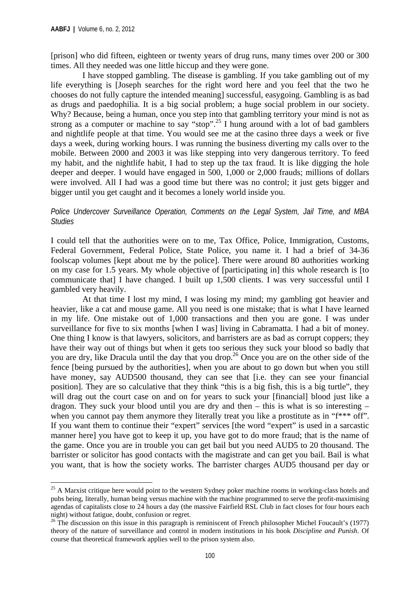[prison] who did fifteen, eighteen or twenty years of drug runs, many times over 200 or 300 times. All they needed was one little hiccup and they were gone.

 I have stopped gambling. The disease is gambling. If you take gambling out of my life everything is [Joseph searches for the right word here and you feel that the two he chooses do not fully capture the intended meaning] successful, easygoing. Gambling is as bad as drugs and paedophilia. It is a big social problem; a huge social problem in our society. Why? Because, being a human, once you step into that gambling territory your mind is not as strong as a computer or machine to say "stop".<sup>25</sup> I hung around with a lot of bad gamblers and nightlife people at that time. You would see me at the casino three days a week or five days a week, during working hours. I was running the business diverting my calls over to the mobile. Between 2000 and 2003 it was like stepping into very dangerous territory. To feed my habit, and the nightlife habit, I had to step up the tax fraud. It is like digging the hole deeper and deeper. I would have engaged in 500, 1,000 or 2,000 frauds; millions of dollars were involved. All I had was a good time but there was no control; it just gets bigger and bigger until you get caught and it becomes a lonely world inside you.

#### *Police Undercover Surveillance Operation, Comments on the Legal System, Jail Time, and MBA Studies*

I could tell that the authorities were on to me, Tax Office, Police, Immigration, Customs, Federal Government, Federal Police, State Police, you name it. I had a brief of 34-36 foolscap volumes [kept about me by the police]. There were around 80 authorities working on my case for 1.5 years. My whole objective of [participating in] this whole research is [to communicate that] I have changed. I built up 1,500 clients. I was very successful until I gambled very heavily.

 At that time I lost my mind, I was losing my mind; my gambling got heavier and heavier, like a cat and mouse game. All you need is one mistake; that is what I have learned in my life. One mistake out of 1,000 transactions and then you are gone. I was under surveillance for five to six months [when I was] living in Cabramatta. I had a bit of money. One thing I know is that lawyers, solicitors, and barristers are as bad as corrupt coppers; they have their way out of things but when it gets too serious they suck your blood so badly that you are dry, like Dracula until the day that you drop.<sup>26</sup> Once you are on the other side of the fence [being pursued by the authorities], when you are about to go down but when you still have money, say AUD500 thousand, they can see that [i.e. they can see your financial position]. They are so calculative that they think "this is a big fish, this is a big turtle", they will drag out the court case on and on for years to suck your [financial] blood just like a dragon. They suck your blood until you are dry and then – this is what is so interesting – when you cannot pay them anymore they literally treat you like a prostitute as in "f\*\*\* off". If you want them to continue their "expert" services [the word "expert" is used in a sarcastic manner here] you have got to keep it up, you have got to do more fraud; that is the name of the game. Once you are in trouble you can get bail but you need AUD5 to 20 thousand. The barrister or solicitor has good contacts with the magistrate and can get you bail. Bail is what you want, that is how the society works. The barrister charges AUD5 thousand per day or

<sup>&</sup>lt;sup>25</sup> A Marxist critique here would point to the western Sydney poker machine rooms in working-class hotels and pubs being, literally, human being versus machine with the machine programmed to serve the profit-maximising agendas of capitalists close to 24 hours a day (the massive Fairfield RSL Club in fact closes for four hours each night) without fatigue, doubt, confusion or regret.

<sup>&</sup>lt;sup>26</sup> The discussion on this issue in this paragraph is reminiscent of French philosopher Michel Foucault's (1977) theory of the nature of surveillance and control in modern institutions in his book *Discipline and Punish*. Of course that theoretical framework applies well to the prison system also.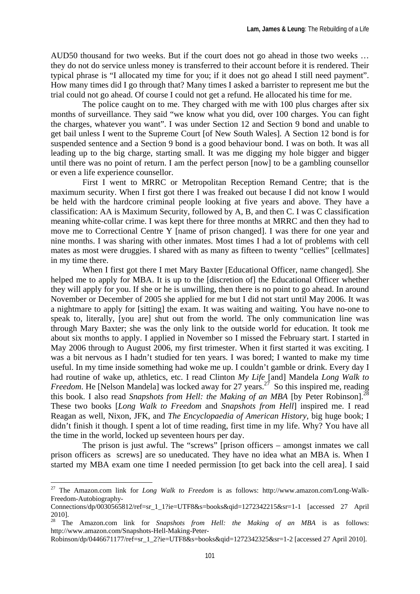AUD50 thousand for two weeks. But if the court does not go ahead in those two weeks … they do not do service unless money is transferred to their account before it is rendered. Their typical phrase is "I allocated my time for you; if it does not go ahead I still need payment". How many times did I go through that? Many times I asked a barrister to represent me but the trial could not go ahead. Of course I could not get a refund. He allocated his time for me.

 The police caught on to me. They charged with me with 100 plus charges after six months of surveillance. They said "we know what you did, over 100 charges. You can fight the charges, whatever you want". I was under Section 12 and Section 9 bond and unable to get bail unless I went to the Supreme Court [of New South Wales]. A Section 12 bond is for suspended sentence and a Section 9 bond is a good behaviour bond. I was on both. It was all leading up to the big charge, starting small. It was me digging my hole bigger and bigger until there was no point of return. I am the perfect person [now] to be a gambling counsellor or even a life experience counsellor.

 First I went to MRRC or Metropolitan Reception Remand Centre; that is the maximum security. When I first got there I was freaked out because I did not know I would be held with the hardcore criminal people looking at five years and above. They have a classification: AA is Maximum Security, followed by A, B, and then C. I was C classification meaning white-collar crime. I was kept there for three months at MRRC and then they had to move me to Correctional Centre Y [name of prison changed]. I was there for one year and nine months. I was sharing with other inmates. Most times I had a lot of problems with cell mates as most were druggies. I shared with as many as fifteen to twenty "cellies" [cellmates] in my time there.

 When I first got there I met Mary Baxter [Educational Officer, name changed]. She helped me to apply for MBA. It is up to the [discretion of] the Educational Officer whether they will apply for you. If she or he is unwilling, then there is no point to go ahead. In around November or December of 2005 she applied for me but I did not start until May 2006. It was a nightmare to apply for [sitting] the exam. It was waiting and waiting. You have no-one to speak to, literally, [you are] shut out from the world. The only communication line was through Mary Baxter; she was the only link to the outside world for education. It took me about six months to apply. I applied in November so I missed the February start. I started in May 2006 through to August 2006, my first trimester. When it first started it was exciting. I was a bit nervous as I hadn't studied for ten years. I was bored; I wanted to make my time useful. In my time inside something had woke me up. I couldn't gamble or drink. Every day I had routine of wake up, athletics, etc. I read Clinton *My Life* [and] Mandela *Long Walk to Freedom*. He [Nelson Mandela] was locked away for 27 years.<sup>27</sup> So this inspired me, reading this book. I also read *Snapshots from Hell: the Making of an MBA* [by Peter Robinson].<sup>28</sup> These two books [*Long Walk to Freedom* and *Snapshots from Hell*] inspired me. I read Reagan as well, Nixon, JFK, and *The Encyclopaedia of American History*, big huge book; I didn't finish it though. I spent a lot of time reading, first time in my life. Why? You have all the time in the world, locked up seventeen hours per day.

 The prison is just awful. The "screws" [prison officers – amongst inmates we call prison officers as screws] are so uneducated. They have no idea what an MBA is. When I started my MBA exam one time I needed permission [to get back into the cell area]. I said

<sup>27</sup> The Amazon.com link for *Long Walk to Freedom* is as follows: http://www.amazon.com/Long-Walk-Freedom-Autobiography-

 $Connections/dp/0030565812/ref=sr11?ie=UTF8&s=books&aid=1272342215&sr=1-1$  [accessed 27 April 2010].

<sup>&</sup>lt;sup>28</sup> The Amazon.com link for *Snapshots from Hell: the Making of an MBA* is as follows: http://www.amazon.com/Snapshots-Hell-Making-Peter-

Robinson/dp/0446671177/ref=sr\_1\_2?ie=UTF8&s=books&qid=1272342325&sr=1-2 [accessed 27 April 2010].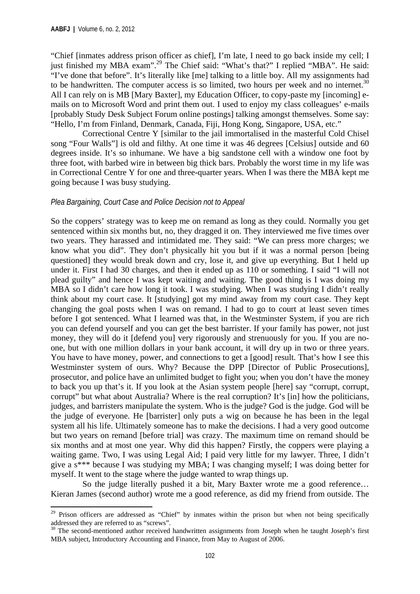"Chief [inmates address prison officer as chief], I'm late, I need to go back inside my cell; I just finished my MBA exam".<sup>29</sup> The Chief said: "What's that?" I replied "MBA". He said: "I've done that before". It's literally like [me] talking to a little boy. All my assignments had to be handwritten. The computer access is so limited, two hours per week and no internet.<sup>30</sup> All I can rely on is MB [Mary Baxter], my Education Officer, to copy-paste my [incoming] emails on to Microsoft Word and print them out. I used to enjoy my class colleagues' e-mails [probably Study Desk Subject Forum online postings] talking amongst themselves. Some say: "Hello, I'm from Finland, Denmark, Canada, Fiji, Hong Kong, Singapore, USA, etc."

 Correctional Centre Y [similar to the jail immortalised in the masterful Cold Chisel song "Four Walls"] is old and filthy. At one time it was 46 degrees [Celsius] outside and 60 degrees inside. It's so inhumane. We have a big sandstone cell with a window one foot by three foot, with barbed wire in between big thick bars. Probably the worst time in my life was in Correctional Centre Y for one and three-quarter years. When I was there the MBA kept me going because I was busy studying.

#### *Plea Bargaining, Court Case and Police Decision not to Appeal*

So the coppers' strategy was to keep me on remand as long as they could. Normally you get sentenced within six months but, no, they dragged it on. They interviewed me five times over two years. They harassed and intimidated me. They said: "We can press more charges; we know what you did". They don't physically hit you but if it was a normal person [being questioned] they would break down and cry, lose it, and give up everything. But I held up under it. First I had 30 charges, and then it ended up as 110 or something. I said "I will not plead guilty" and hence I was kept waiting and waiting. The good thing is I was doing my MBA so I didn't care how long it took. I was studying. When I was studying I didn't really think about my court case. It [studying] got my mind away from my court case. They kept changing the goal posts when I was on remand. I had to go to court at least seven times before I got sentenced. What I learned was that, in the Westminster System, if you are rich you can defend yourself and you can get the best barrister. If your family has power, not just money, they will do it [defend you] very rigorously and strenuously for you. If you are noone, but with one million dollars in your bank account, it will dry up in two or three years. You have to have money, power, and connections to get a [good] result. That's how I see this Westminster system of ours. Why? Because the DPP [Director of Public Prosecutions], prosecutor, and police have an unlimited budget to fight you; when you don't have the money to back you up that's it. If you look at the Asian system people [here] say "corrupt, corrupt, corrupt" but what about Australia? Where is the real corruption? It's [in] how the politicians, judges, and barristers manipulate the system. Who is the judge? God is the judge. God will be the judge of everyone. He [barrister] only puts a wig on because he has been in the legal system all his life. Ultimately someone has to make the decisions. I had a very good outcome but two years on remand [before trial] was crazy. The maximum time on remand should be six months and at most one year. Why did this happen? Firstly, the coppers were playing a waiting game. Two, I was using Legal Aid; I paid very little for my lawyer. Three, I didn't give a s\*\*\* because I was studying my MBA; I was changing myself; I was doing better for myself. It went to the stage where the judge wanted to wrap things up.

 So the judge literally pushed it a bit, Mary Baxter wrote me a good reference… Kieran James (second author) wrote me a good reference, as did my friend from outside. The

<sup>&</sup>lt;sup>29</sup> Prison officers are addressed as "Chief" by inmates within the prison but when not being specifically addressed they are referred to as "screws".

 $30$  The second-mentioned author received handwritten assignments from Joseph when he taught Joseph's first MBA subject, Introductory Accounting and Finance, from May to August of 2006.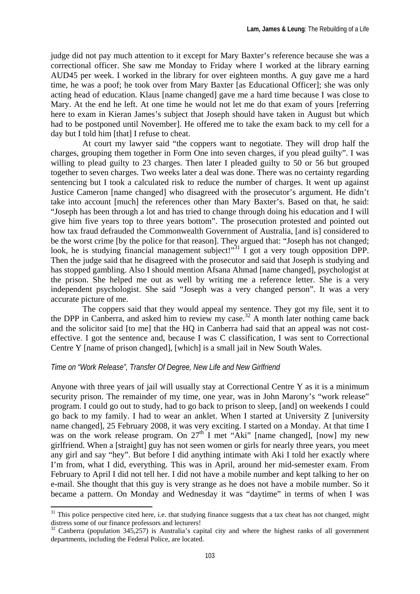judge did not pay much attention to it except for Mary Baxter's reference because she was a correctional officer. She saw me Monday to Friday where I worked at the library earning AUD45 per week. I worked in the library for over eighteen months. A guy gave me a hard time, he was a poof; he took over from Mary Baxter [as Educational Officer]; she was only acting head of education. Klaus [name changed] gave me a hard time because I was close to Mary. At the end he left. At one time he would not let me do that exam of yours [referring here to exam in Kieran James's subject that Joseph should have taken in August but which had to be postponed until November]. He offered me to take the exam back to my cell for a day but I told him [that] I refuse to cheat.

 At court my lawyer said "the coppers want to negotiate. They will drop half the charges, grouping them together in Form One into seven charges, if you plead guilty". I was willing to plead guilty to 23 charges. Then later I pleaded guilty to 50 or 56 but grouped together to seven charges. Two weeks later a deal was done. There was no certainty regarding sentencing but I took a calculated risk to reduce the number of charges. It went up against Justice Cameron [name changed] who disagreed with the prosecutor's argument. He didn't take into account [much] the references other than Mary Baxter's. Based on that, he said: "Joseph has been through a lot and has tried to change through doing his education and I will give him five years top to three years bottom". The prosecution protested and pointed out how tax fraud defrauded the Commonwealth Government of Australia, [and is] considered to be the worst crime [by the police for that reason]. They argued that: "Joseph has not changed; look, he is studying financial management subject!"<sup>31</sup> I got a very tough opposition DPP. Then the judge said that he disagreed with the prosecutor and said that Joseph is studying and has stopped gambling. Also I should mention Afsana Ahmad [name changed], psychologist at the prison. She helped me out as well by writing me a reference letter. She is a very independent psychologist. She said "Joseph was a very changed person". It was a very accurate picture of me.

 The coppers said that they would appeal my sentence. They got my file, sent it to the DPP in Canberra, and asked him to review my case.<sup>32</sup> A month later nothing came back and the solicitor said [to me] that the HQ in Canberra had said that an appeal was not costeffective. I got the sentence and, because I was C classification, I was sent to Correctional Centre Y [name of prison changed], [which] is a small jail in New South Wales.

## *Time on "Work Release", Transfer Of Degree, New Life and New Girlfriend*

Anyone with three years of jail will usually stay at Correctional Centre Y as it is a minimum security prison. The remainder of my time, one year, was in John Marony's "work release" program. I could go out to study, had to go back to prison to sleep, [and] on weekends I could go back to my family. I had to wear an anklet. When I started at University Z [university name changed], 25 February 2008, it was very exciting. I started on a Monday. At that time I was on the work release program. On  $27<sup>th</sup>$  I met "Aki" [name changed], [now] my new girlfriend. When a [straight] guy has not seen women or girls for nearly three years, you meet any girl and say "hey". But before I did anything intimate with Aki I told her exactly where I'm from, what I did, everything. This was in April, around her mid-semester exam. From February to April I did not tell her. I did not have a mobile number and kept talking to her on e-mail. She thought that this guy is very strange as he does not have a mobile number. So it became a pattern. On Monday and Wednesday it was "daytime" in terms of when I was

 $31$  This police perspective cited here, i.e. that studying finance suggests that a tax cheat has not changed, might

distress some of our finance professors and lecturers!<br><sup>32</sup> Canberra (population 345,257) is Australia's capital city and where the highest ranks of all government departments, including the Federal Police, are located.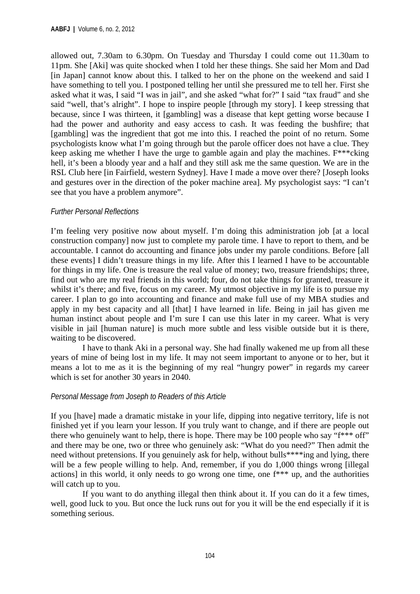allowed out, 7.30am to 6.30pm. On Tuesday and Thursday I could come out 11.30am to 11pm. She [Aki] was quite shocked when I told her these things. She said her Mom and Dad [in Japan] cannot know about this. I talked to her on the phone on the weekend and said I have something to tell you. I postponed telling her until she pressured me to tell her. First she asked what it was, I said "I was in jail", and she asked "what for?" I said "tax fraud" and she said "well, that's alright". I hope to inspire people [through my story]. I keep stressing that because, since I was thirteen, it [gambling] was a disease that kept getting worse because I had the power and authority and easy access to cash. It was feeding the bushfire; that [gambling] was the ingredient that got me into this. I reached the point of no return. Some psychologists know what I'm going through but the parole officer does not have a clue. They keep asking me whether I have the urge to gamble again and play the machines. F\*\*\*cking hell, it's been a bloody year and a half and they still ask me the same question. We are in the RSL Club here [in Fairfield, western Sydney]. Have I made a move over there? [Joseph looks and gestures over in the direction of the poker machine area]. My psychologist says: "I can't see that you have a problem anymore".

## *Further Personal Reflections*

I'm feeling very positive now about myself. I'm doing this administration job [at a local construction company] now just to complete my parole time. I have to report to them, and be accountable. I cannot do accounting and finance jobs under my parole conditions. Before [all these events] I didn't treasure things in my life. After this I learned I have to be accountable for things in my life. One is treasure the real value of money; two, treasure friendships; three, find out who are my real friends in this world; four, do not take things for granted, treasure it whilst it's there; and five, focus on my career. My utmost objective in my life is to pursue my career. I plan to go into accounting and finance and make full use of my MBA studies and apply in my best capacity and all [that] I have learned in life. Being in jail has given me human instinct about people and I'm sure I can use this later in my career. What is very visible in jail [human nature] is much more subtle and less visible outside but it is there, waiting to be discovered.

 I have to thank Aki in a personal way. She had finally wakened me up from all these years of mine of being lost in my life. It may not seem important to anyone or to her, but it means a lot to me as it is the beginning of my real "hungry power" in regards my career which is set for another 30 years in 2040.

## *Personal Message from Joseph to Readers of this Article*

If you [have] made a dramatic mistake in your life, dipping into negative territory, life is not finished yet if you learn your lesson. If you truly want to change, and if there are people out there who genuinely want to help, there is hope. There may be 100 people who say "f\*\*\* off" and there may be one, two or three who genuinely ask: "What do you need?" Then admit the need without pretensions. If you genuinely ask for help, without bulls<sup>\*\*\*\*</sup>ing and lying, there will be a few people willing to help. And, remember, if you do 1,000 things wrong [illegal] actions] in this world, it only needs to go wrong one time, one f\*\*\* up, and the authorities will catch up to you.

 If you want to do anything illegal then think about it. If you can do it a few times, well, good luck to you. But once the luck runs out for you it will be the end especially if it is something serious.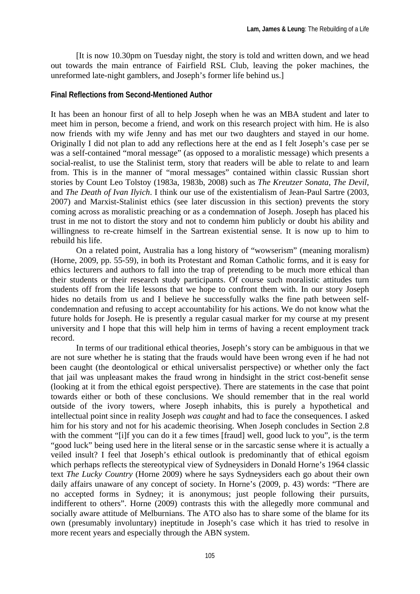[It is now 10.30pm on Tuesday night, the story is told and written down, and we head out towards the main entrance of Fairfield RSL Club, leaving the poker machines, the unreformed late-night gamblers, and Joseph's former life behind us.]

#### **Final Reflections from Second-Mentioned Author**

It has been an honour first of all to help Joseph when he was an MBA student and later to meet him in person, become a friend, and work on this research project with him. He is also now friends with my wife Jenny and has met our two daughters and stayed in our home. Originally I did not plan to add any reflections here at the end as I felt Joseph's case per se was a self-contained "moral message" (as opposed to a moralistic message) which presents a social-realist, to use the Stalinist term, story that readers will be able to relate to and learn from. This is in the manner of "moral messages" contained within classic Russian short stories by Count Leo Tolstoy (1983a, 1983b, 2008) such as *The Kreutzer Sonata*, *The Devil*, and *The Death of Ivan Ilyich*. I think our use of the existentialism of Jean-Paul Sartre (2003, 2007) and Marxist-Stalinist ethics (see later discussion in this section) prevents the story coming across as moralistic preaching or as a condemnation of Joseph. Joseph has placed his trust in me not to distort the story and not to condemn him publicly or doubt his ability and willingness to re-create himself in the Sartrean existential sense. It is now up to him to rebuild his life.

On a related point, Australia has a long history of "wowserism" (meaning moralism) (Horne, 2009, pp. 55-59), in both its Protestant and Roman Catholic forms, and it is easy for ethics lecturers and authors to fall into the trap of pretending to be much more ethical than their students or their research study participants. Of course such moralistic attitudes turn students off from the life lessons that we hope to confront them with. In our story Joseph hides no details from us and I believe he successfully walks the fine path between selfcondemnation and refusing to accept accountability for his actions. We do not know what the future holds for Joseph. He is presently a regular casual marker for my course at my present university and I hope that this will help him in terms of having a recent employment track record.

In terms of our traditional ethical theories, Joseph's story can be ambiguous in that we are not sure whether he is stating that the frauds would have been wrong even if he had not been caught (the deontological or ethical universalist perspective) or whether only the fact that jail was unpleasant makes the fraud wrong in hindsight in the strict cost-benefit sense (looking at it from the ethical egoist perspective). There are statements in the case that point towards either or both of these conclusions. We should remember that in the real world outside of the ivory towers, where Joseph inhabits, this is purely a hypothetical and intellectual point since in reality Joseph *was caught* and had to face the consequences. I asked him for his story and not for his academic theorising. When Joseph concludes in Section 2.8 with the comment "[i]f you can do it a few times [fraud] well, good luck to you", is the term "good luck" being used here in the literal sense or in the sarcastic sense where it is actually a veiled insult? I feel that Joseph's ethical outlook is predominantly that of ethical egoism which perhaps reflects the stereotypical view of Sydneysiders in Donald Horne's 1964 classic text *The Lucky Country* (Horne 2009) where he says Sydneysiders each go about their own daily affairs unaware of any concept of society. In Horne's (2009, p. 43) words: "There are no accepted forms in Sydney; it is anonymous; just people following their pursuits, indifferent to others". Horne (2009) contrasts this with the allegedly more communal and socially aware attitude of Melburnians. The ATO also has to share some of the blame for its own (presumably involuntary) ineptitude in Joseph's case which it has tried to resolve in more recent years and especially through the ABN system.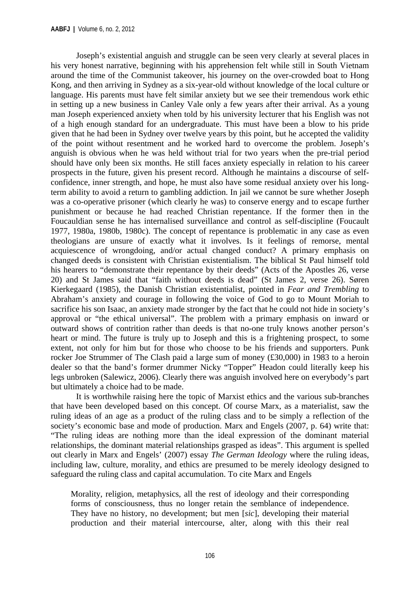Joseph's existential anguish and struggle can be seen very clearly at several places in his very honest narrative, beginning with his apprehension felt while still in South Vietnam around the time of the Communist takeover, his journey on the over-crowded boat to Hong Kong, and then arriving in Sydney as a six-year-old without knowledge of the local culture or language. His parents must have felt similar anxiety but we see their tremendous work ethic in setting up a new business in Canley Vale only a few years after their arrival. As a young man Joseph experienced anxiety when told by his university lecturer that his English was not of a high enough standard for an undergraduate. This must have been a blow to his pride given that he had been in Sydney over twelve years by this point, but he accepted the validity of the point without resentment and he worked hard to overcome the problem. Joseph's anguish is obvious when he was held without trial for two years when the pre-trial period should have only been six months. He still faces anxiety especially in relation to his career prospects in the future, given his present record. Although he maintains a discourse of selfconfidence, inner strength, and hope, he must also have some residual anxiety over his longterm ability to avoid a return to gambling addiction. In jail we cannot be sure whether Joseph was a co-operative prisoner (which clearly he was) to conserve energy and to escape further punishment or because he had reached Christian repentance. If the former then in the Foucauldian sense he has internalised surveillance and control as self-discipline (Foucault 1977, 1980a, 1980b, 1980c). The concept of repentance is problematic in any case as even theologians are unsure of exactly what it involves. Is it feelings of remorse, mental acquiescence of wrongdoing, and/or actual changed conduct? A primary emphasis on changed deeds is consistent with Christian existentialism. The biblical St Paul himself told his hearers to "demonstrate their repentance by their deeds" (Acts of the Apostles 26, verse 20) and St James said that "faith without deeds is dead" (St James 2, verse 26). Søren Kierkegaard (1985), the Danish Christian existentialist, pointed in *Fear and Trembling* to Abraham's anxiety and courage in following the voice of God to go to Mount Moriah to sacrifice his son Isaac, an anxiety made stronger by the fact that he could not hide in society's approval or "the ethical universal". The problem with a primary emphasis on inward or outward shows of contrition rather than deeds is that no-one truly knows another person's heart or mind. The future is truly up to Joseph and this is a frightening prospect, to some extent, not only for him but for those who choose to be his friends and supporters. Punk rocker Joe Strummer of The Clash paid a large sum of money (£30,000) in 1983 to a heroin dealer so that the band's former drummer Nicky "Topper" Headon could literally keep his legs unbroken (Salewicz, 2006). Clearly there was anguish involved here on everybody's part but ultimately a choice had to be made.

It is worthwhile raising here the topic of Marxist ethics and the various sub-branches that have been developed based on this concept. Of course Marx, as a materialist, saw the ruling ideas of an age as a product of the ruling class and to be simply a reflection of the society's economic base and mode of production. Marx and Engels (2007, p. 64) write that: "The ruling ideas are nothing more than the ideal expression of the dominant material relationships, the dominant material relationships grasped as ideas". This argument is spelled out clearly in Marx and Engels' (2007) essay *The German Ideology* where the ruling ideas, including law, culture, morality, and ethics are presumed to be merely ideology designed to safeguard the ruling class and capital accumulation. To cite Marx and Engels

Morality, religion, metaphysics, all the rest of ideology and their corresponding forms of consciousness, thus no longer retain the semblance of independence. They have no history, no development; but men [*sic*], developing their material production and their material intercourse, alter, along with this their real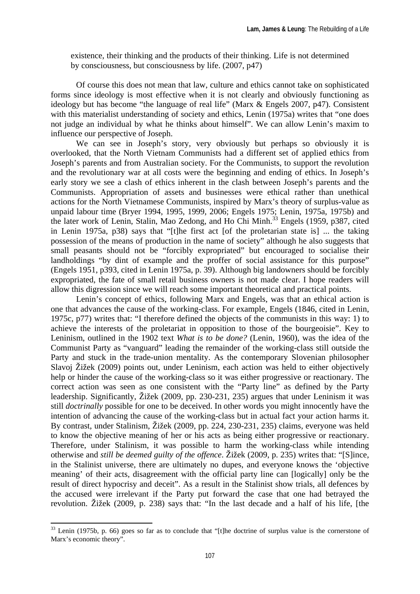existence, their thinking and the products of their thinking. Life is not determined by consciousness, but consciousness by life. (2007, p47)

Of course this does not mean that law, culture and ethics cannot take on sophisticated forms since ideology is most effective when it is not clearly and obviously functioning as ideology but has become "the language of real life" (Marx & Engels 2007, p47). Consistent with this materialist understanding of society and ethics, Lenin (1975a) writes that "one does not judge an individual by what he thinks about himself". We can allow Lenin's maxim to influence our perspective of Joseph.

We can see in Joseph's story, very obviously but perhaps so obviously it is overlooked, that the North Vietnam Communists had a different set of applied ethics from Joseph's parents and from Australian society. For the Communists, to support the revolution and the revolutionary war at all costs were the beginning and ending of ethics. In Joseph's early story we see a clash of ethics inherent in the clash between Joseph's parents and the Communists. Appropriation of assets and businesses were ethical rather than unethical actions for the North Vietnamese Communists, inspired by Marx's theory of surplus-value as unpaid labour time (Bryer 1994, 1995, 1999, 2006; Engels 1975; Lenin, 1975a, 1975b) and the later work of Lenin, Stalin, Mao Zedong, and Ho Chi Minh.<sup>33</sup> Engels (1959, p387, cited in Lenin 1975a, p38) says that "[t]he first act [of the proletarian state is] ... the taking possession of the means of production in the name of society" although he also suggests that small peasants should not be "forcibly expropriated" but encouraged to socialise their landholdings "by dint of example and the proffer of social assistance for this purpose" (Engels 1951, p393, cited in Lenin 1975a, p. 39). Although big landowners should be forcibly expropriated, the fate of small retail business owners is not made clear. I hope readers will allow this digression since we will reach some important theoretical and practical points.

Lenin's concept of ethics, following Marx and Engels, was that an ethical action is one that advances the cause of the working-class. For example, Engels (1846, cited in Lenin, 1975c, p77) writes that: "I therefore defined the objects of the communists in this way: 1) to achieve the interests of the proletariat in opposition to those of the bourgeoisie". Key to Leninism, outlined in the 1902 text *What is to be done?* (Lenin, 1960), was the idea of the Communist Party as "vanguard" leading the remainder of the working-class still outside the Party and stuck in the trade-union mentality. As the contemporary Slovenian philosopher Slavoj Žižek (2009) points out, under Leninism, each action was held to either objectively help or hinder the cause of the working-class so it was either progressive or reactionary. The correct action was seen as one consistent with the "Party line" as defined by the Party leadership. Significantly, Žižek (2009, pp. 230-231, 235) argues that under Leninism it was still *doctrinally* possible for one to be deceived. In other words you might innocently have the intention of advancing the cause of the working-class but in actual fact your action harms it. By contrast, under Stalinism, Žižek (2009, pp. 224, 230-231, 235) claims, everyone was held to know the objective meaning of her or his acts as being either progressive or reactionary. Therefore, under Stalinism, it was possible to harm the working-class while intending otherwise and *still be deemed guilty of the offence*. Žižek (2009, p. 235) writes that: "[S]ince, in the Stalinist universe, there are ultimately no dupes, and everyone knows the 'objective meaning' of their acts, disagreement with the official party line can [logically] only be the result of direct hypocrisy and deceit". As a result in the Stalinist show trials, all defences by the accused were irrelevant if the Party put forward the case that one had betrayed the revolution. Žižek (2009, p. 238) says that: "In the last decade and a half of his life, [the

 $33$  Lenin (1975b, p. 66) goes so far as to conclude that "[t]he doctrine of surplus value is the cornerstone of Marx's economic theory".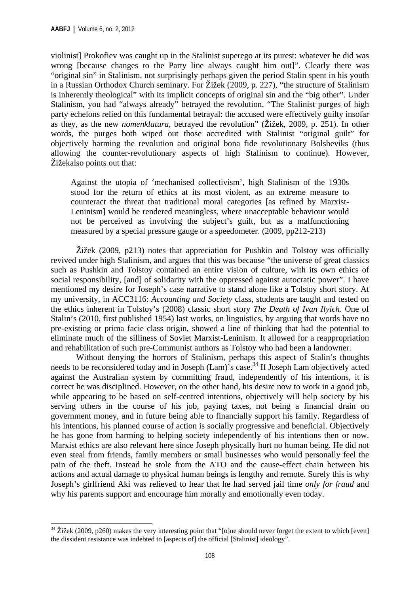violinist] Prokofiev was caught up in the Stalinist superego at its purest: whatever he did was wrong [because changes to the Party line always caught him out]". Clearly there was "original sin" in Stalinism, not surprisingly perhaps given the period Stalin spent in his youth in a Russian Orthodox Church seminary. For Žižek (2009, p. 227), "the structure of Stalinism is inherently theological" with its implicit concepts of original sin and the "big other". Under Stalinism, you had "always already" betrayed the revolution. "The Stalinist purges of high party echelons relied on this fundamental betrayal: the accused were effectively guilty insofar as they, as the new *nomenklatura*, betrayed the revolution" (Žižek, 2009, p. 251). In other words, the purges both wiped out those accredited with Stalinist "original guilt" for objectively harming the revolution and original bona fide revolutionary Bolsheviks (thus allowing the counter-revolutionary aspects of high Stalinism to continue). However, Žižekalso points out that:

Against the utopia of 'mechanised collectivism', high Stalinism of the 1930s stood for the return of ethics at its most violent, as an extreme measure to counteract the threat that traditional moral categories [as refined by Marxist-Leninism] would be rendered meaningless, where unacceptable behaviour would not be perceived as involving the subject's guilt, but as a malfunctioning measured by a special pressure gauge or a speedometer. (2009, pp212-213)

Žižek (2009, p213) notes that appreciation for Pushkin and Tolstoy was officially revived under high Stalinism, and argues that this was because "the universe of great classics such as Pushkin and Tolstoy contained an entire vision of culture, with its own ethics of social responsibility, [and] of solidarity with the oppressed against autocratic power". I have mentioned my desire for Joseph's case narrative to stand alone like a Tolstoy short story. At my university, in ACC3116: *Accounting and Society* class, students are taught and tested on the ethics inherent in Tolstoy's (2008) classic short story *The Death of Ivan Ilyich*. One of Stalin's (2010, first published 1954) last works, on linguistics, by arguing that words have no pre-existing or prima facie class origin, showed a line of thinking that had the potential to eliminate much of the silliness of Soviet Marxist-Leninism. It allowed for a reappropriation and rehabilitation of such pre-Communist authors as Tolstoy who had been a landowner.

Without denying the horrors of Stalinism, perhaps this aspect of Stalin's thoughts needs to be reconsidered today and in Joseph (Lam)'s case.34 If Joseph Lam objectively acted against the Australian system by committing fraud, independently of his intentions, it is correct he was disciplined. However, on the other hand, his desire now to work in a good job, while appearing to be based on self-centred intentions, objectively will help society by his serving others in the course of his job, paying taxes, not being a financial drain on government money, and in future being able to financially support his family. Regardless of his intentions, his planned course of action is socially progressive and beneficial. Objectively he has gone from harming to helping society independently of his intentions then or now. Marxist ethics are also relevant here since Joseph physically hurt no human being. He did not even steal from friends, family members or small businesses who would personally feel the pain of the theft. Instead he stole from the ATO and the cause-effect chain between his actions and actual damage to physical human beings is lengthy and remote. Surely this is why Joseph's girlfriend Aki was relieved to hear that he had served jail time *only for fraud* and why his parents support and encourage him morally and emotionally even today.

  $34$  Žižek (2009, p260) makes the very interesting point that "[o]ne should never forget the extent to which [even] the dissident resistance was indebted to [aspects of] the official [Stalinist] ideology".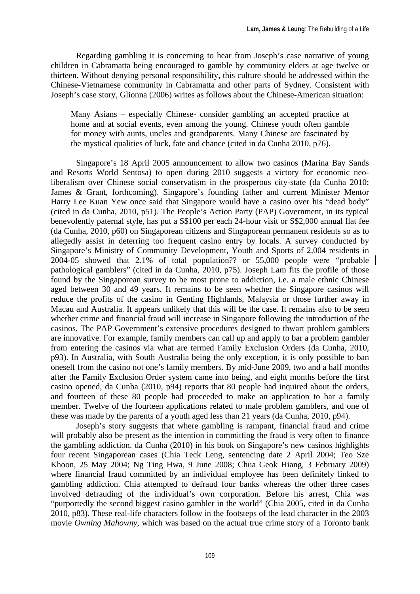Regarding gambling it is concerning to hear from Joseph's case narrative of young children in Cabramatta being encouraged to gamble by community elders at age twelve or thirteen. Without denying personal responsibility, this culture should be addressed within the Chinese-Vietnamese community in Cabramatta and other parts of Sydney. Consistent with Joseph's case story, Glionna (2006) writes as follows about the Chinese-American situation:

Many Asians – especially Chinese- consider gambling an accepted practice at home and at social events, even among the young. Chinese youth often gamble for money with aunts, uncles and grandparents. Many Chinese are fascinated by the mystical qualities of luck, fate and chance (cited in da Cunha 2010, p76).

Singapore's 18 April 2005 announcement to allow two casinos (Marina Bay Sands and Resorts World Sentosa) to open during 2010 suggests a victory for economic neoliberalism over Chinese social conservatism in the prosperous city-state (da Cunha 2010; James & Grant, forthcoming). Singapore's founding father and current Minister Mentor Harry Lee Kuan Yew once said that Singapore would have a casino over his "dead body" (cited in da Cunha, 2010, p51). The People's Action Party (PAP) Government, in its typical benevolently paternal style, has put a S\$100 per each 24-hour visit or S\$2,000 annual flat fee (da Cunha, 2010, p60) on Singaporean citizens and Singaporean permanent residents so as to allegedly assist in deterring too frequent casino entry by locals. A survey conducted by Singapore's Ministry of Community Development, Youth and Sports of 2,004 residents in 2004-05 showed that 2.1% of total population?? or 55,000 people were "probable pathological gamblers" (cited in da Cunha, 2010, p75). Joseph Lam fits the profile of those found by the Singaporean survey to be most prone to addiction, i.e. a male ethnic Chinese aged between 30 and 49 years. It remains to be seen whether the Singapore casinos will reduce the profits of the casino in Genting Highlands, Malaysia or those further away in Macau and Australia. It appears unlikely that this will be the case. It remains also to be seen whether crime and financial fraud will increase in Singapore following the introduction of the casinos. The PAP Government's extensive procedures designed to thwart problem gamblers are innovative. For example, family members can call up and apply to bar a problem gambler from entering the casinos via what are termed Family Exclusion Orders (da Cunha, 2010, p93). In Australia, with South Australia being the only exception, it is only possible to ban oneself from the casino not one's family members. By mid-June 2009, two and a half months after the Family Exclusion Order system came into being, and eight months before the first casino opened, da Cunha (2010, p94) reports that 80 people had inquired about the orders, and fourteen of these 80 people had proceeded to make an application to bar a family member. Twelve of the fourteen applications related to male problem gamblers, and one of these was made by the parents of a youth aged less than 21 years (da Cunha, 2010, p94).

Joseph's story suggests that where gambling is rampant, financial fraud and crime will probably also be present as the intention in committing the fraud is very often to finance the gambling addiction. da Cunha (2010) in his book on Singapore's new casinos highlights four recent Singaporean cases (Chia Teck Leng, sentencing date 2 April 2004; Teo Sze Khoon, 25 May 2004; Ng Ting Hwa, 9 June 2008; Chua Geok Hiang, 3 February 2009) where financial fraud committed by an individual employee has been definitely linked to gambling addiction. Chia attempted to defraud four banks whereas the other three cases involved defrauding of the individual's own corporation. Before his arrest, Chia was "purportedly the second biggest casino gambler in the world" (Chia 2005, cited in da Cunha 2010, p83). These real-life characters follow in the footsteps of the lead character in the 2003 movie *Owning Mahowny*, which was based on the actual true crime story of a Toronto bank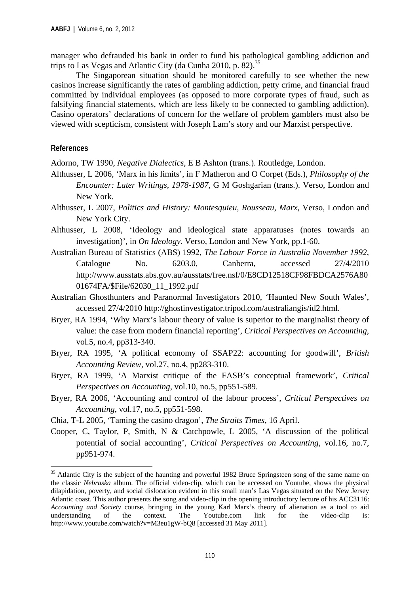manager who defrauded his bank in order to fund his pathological gambling addiction and trips to Las Vegas and Atlantic City (da Cunha 2010, p. 82).<sup>35</sup>

The Singaporean situation should be monitored carefully to see whether the new casinos increase significantly the rates of gambling addiction, petty crime, and financial fraud committed by individual employees (as opposed to more corporate types of fraud, such as falsifying financial statements, which are less likely to be connected to gambling addiction). Casino operators' declarations of concern for the welfare of problem gamblers must also be viewed with scepticism, consistent with Joseph Lam's story and our Marxist perspective.

#### **References**

Adorno, TW 1990, *Negative Dialectics*, E B Ashton (trans.). Routledge, London.

- Althusser, L 2006, 'Marx in his limits', in F Matheron and O Corpet (Eds.), *Philosophy of the Encounter: Later Writings, 1978-1987*, G M Goshgarian (trans.). Verso, London and New York.
- Althusser, L 2007, *Politics and History: Montesquieu, Rousseau, Marx*, Verso, London and New York City.
- Althusser, L 2008, 'Ideology and ideological state apparatuses (notes towards an investigation)', in *On Ideology*. Verso, London and New York, pp.1-60.
- Australian Bureau of Statistics (ABS) 1992, *The Labour Force in Australia November 1992*, Catalogue No. 6203.0, Canberra, accessed 27/4/2010 http://www.ausstats.abs.gov.au/ausstats/free.nsf/0/E8CD12518CF98FBDCA2576A80 01674FA/\$File/62030\_11\_1992.pdf
- Australian Ghosthunters and Paranormal Investigators 2010, 'Haunted New South Wales', accessed 27/4/2010 http://ghostinvestigator.tripod.com/australiangis/id2.html.
- Bryer, RA 1994, 'Why Marx's labour theory of value is superior to the marginalist theory of value: the case from modern financial reporting', *Critical Perspectives on Accounting*, vol.5, no.4, pp313-340.
- Bryer, RA 1995, 'A political economy of SSAP22: accounting for goodwill', *British Accounting Review*, vol.27, no.4, pp283-310.
- Bryer, RA 1999, 'A Marxist critique of the FASB's conceptual framework', *Critical Perspectives on Accounting*, vol.10, no.5, pp551-589.
- Bryer, RA 2006, 'Accounting and control of the labour process', *Critical Perspectives on Accounting*, vol.17, no.5, pp551-598.
- Chia, T-L 2005, 'Taming the casino dragon', *The Straits Times*, 16 April.

Cooper, C, Taylor, P, Smith, N & Catchpowle, L 2005, 'A discussion of the political potential of social accounting'*, Critical Perspectives on Accounting*, vol.16, no.7, pp951-974.

<sup>&</sup>lt;sup>35</sup> Atlantic City is the subject of the haunting and powerful 1982 Bruce Springsteen song of the same name on the classic *Nebraska* album. The official video-clip, which can be accessed on Youtube, shows the physical dilapidation, poverty, and social dislocation evident in this small man's Las Vegas situated on the New Jersey Atlantic coast. This author presents the song and video-clip in the opening introductory lecture of his ACC3116: *Accounting and Society* course, bringing in the young Karl Marx's theory of alienation as a tool to aid understanding of the context. The Youtube.com link for the video-clip is: http://www.youtube.com/watch?v=M3eu1gW-bQ8 [accessed 31 May 2011].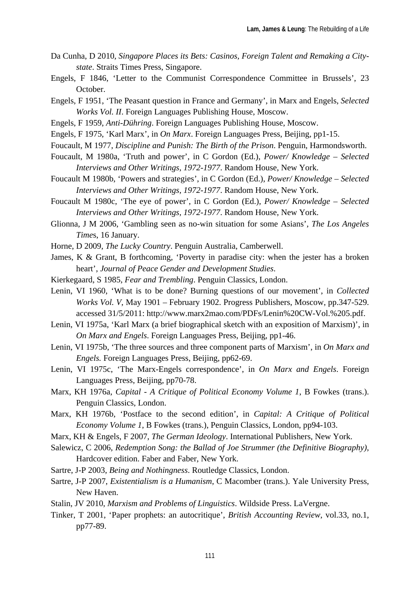- Da Cunha, D 2010, *Singapore Places its Bets: Casinos, Foreign Talent and Remaking a Citystate*. Straits Times Press, Singapore.
- Engels, F 1846, 'Letter to the Communist Correspondence Committee in Brussels', 23 October.
- Engels, F 1951, 'The Peasant question in France and Germany', in Marx and Engels, *Selected Works Vol. II*. Foreign Languages Publishing House, Moscow.
- Engels, F 1959, *Anti-Dühring*. Foreign Languages Publishing House, Moscow.
- Engels, F 1975, 'Karl Marx', in *On Marx*. Foreign Languages Press, Beijing, pp1-15.
- Foucault, M 1977, *Discipline and Punish: The Birth of the Prison*. Penguin, Harmondsworth.
- Foucault, M 1980a, 'Truth and power', in C Gordon (Ed.), *Power/ Knowledge Selected Interviews and Other Writings, 1972-1977*. Random House, New York.
- Foucault M 1980b, 'Powers and strategies', in C Gordon (Ed.), *Power/ Knowledge Selected Interviews and Other Writings, 1972-1977*. Random House, New York.
- Foucault M 1980c, 'The eye of power', in C Gordon (Ed.), *Power/ Knowledge Selected Interviews and Other Writings, 1972-1977*. Random House, New York.
- Glionna, J M 2006, 'Gambling seen as no-win situation for some Asians', *The Los Angeles Time*s, 16 January.
- Horne, D 2009, *The Lucky Country*. Penguin Australia, Camberwell.
- James, K & Grant, B forthcoming, 'Poverty in paradise city: when the jester has a broken heart', *Journal of Peace Gender and Development Studies*.
- Kierkegaard, S 1985, *Fear and Trembling*. Penguin Classics, London.
- Lenin, VI 1960, 'What is to be done? Burning questions of our movement', in *Collected Works Vol. V*, May 1901 – February 1902. Progress Publishers, Moscow, pp.347-529. accessed 31/5/2011: http://www.marx2mao.com/PDFs/Lenin%20CW-Vol.%205.pdf.
- Lenin, VI 1975a, 'Karl Marx (a brief biographical sketch with an exposition of Marxism)', in *On Marx and Engels*. Foreign Languages Press, Beijing, pp1-46.
- Lenin, VI 1975b, 'The three sources and three component parts of Marxism', in *On Marx and Engels.* Foreign Languages Press, Beijing, pp62-69.
- Lenin, VI 1975c, 'The Marx-Engels correspondence', in *On Marx and Engels*. Foreign Languages Press, Beijing, pp70-78.
- Marx, KH 1976a, *Capital A Critique of Political Economy Volume 1*, B Fowkes (trans.). Penguin Classics, London.
- Marx, KH 1976b, 'Postface to the second edition', in *Capital: A Critique of Political Economy Volume 1*, B Fowkes (trans.), Penguin Classics, London, pp94-103.
- Marx, KH & Engels, F 2007, *The German Ideology*. International Publishers, New York.
- Salewicz, C 2006, *Redemption Song: the Ballad of Joe Strummer (the Definitive Biography)*, Hardcover edition. Faber and Faber, New York.
- Sartre, J-P 2003, *Being and Nothingness*. Routledge Classics, London.
- Sartre, J-P 2007, *Existentialism is a Humanism*, C Macomber (trans.). Yale University Press, New Haven.
- Stalin, JV 2010, *Marxism and Problems of Linguistics*. Wildside Press. LaVergne.
- Tinker, T 2001, 'Paper prophets: an autocritique', *British Accounting Review*, vol.33, no.1, pp77-89.